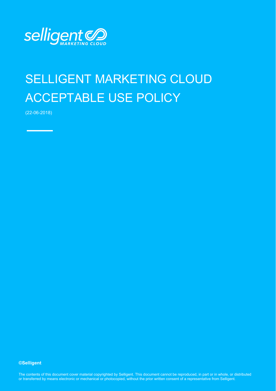

## SELLIGENT MARKETING CLOUD ACCEPTABLE USE POLICY

(22-06-2018)

## **©Selligent**

The contents of this document cover material copyrighted by Selligent. This document cannot be reproduced, in part or in whole, or distributed or transferred by means electronic or mechanical or photocopied, without the prior written consent of a representative from Selligent.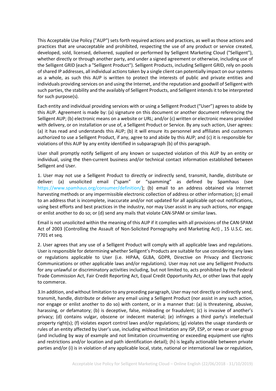This Acceptable Use Policy ("AUP") sets forth required actions and practices, as well as those actions and practices that are unacceptable and prohibited, respecting the use of any product or service created, developed, sold, licensed, delivered, supplied or performed by Selligent Marketing Cloud ("Selligent"), whether directly or through another party, and under a signed agreement or otherwise, including use of the Selligent GRID (each a "Selligent Product"). Selligent Products, including Selligent GRID, rely on pools of shared IP addresses, all individual actions taken by a single client can potentially impact on our systems as a whole, as such this AUP is written to protect the interests of public and private entities and individuals providing services on and using the Internet, and the reputation and goodwill of Selligent with such parties, the stability and the availably of Selligent Products, and Selligent intends it to be interpreted for such purpose(s).

Each entity and individual providing services with or using a Selligent Product ("User") agrees to abide by this AUP. Agreement is made by: (a) signature on this document or another document referencing the Selligent AUP; (b) electronic means on a website or URL; and/or (c) written or electronic means provided with delivery, or on installation or use of, a Selligent Product or Service. By any such action, User agrees: (a) it has read and understands this AUP; (b) it will ensure its personnel and affiliates and customers authorized to use a Selligent Product, if any, agree to and abide by this AUP; and (c) it is responsible for violations of this AUP by any entity identified in subparagraph (b) of this paragraph.

User shall promptly notify Selligent of any known or suspected violation of this AUP by an entity or individual, using the then-current business and/or technical contact information established between Selligent and User.

1. User may not use a Selligent Product to directly or indirectly send, transmit, handle, distribute or deliver: (a) unsolicited email ("spam" or "spamming" as defined by Spamhaus (see [https://www.spamhaus.org/consumer/definition/\)](https://www.spamhaus.org/consumer/definition/); (b) email to an address obtained via Internet harvesting methods or any impermissible electronic collection of address or other information; (c) email to an address that is incomplete, inaccurate and/or not updated for all applicable opt-out notifications, using best efforts and best practices in the industry, nor may User assist in any such actions, nor engage or enlist another to do so; or (d) send any mails that violate CAN-SPAM or similar laws.

Email is not unsolicited within the meaning of this AUP if it complies with all provisions of the CAN-SPAM Act of 2003 (Controlling the Assault of Non-Solicited Pornography and Marketing Act) , 15 U.S.C. sec. 7701 et seq.

2. User agrees that any use of a Selligent Product will comply with all applicable laws and regulations. User is responsible for determining whether Selligent's Products are suitable for use considering any laws or regulations applicable to User (i.e. HIPAA, GLBA, GDPR, Directive on Privacy and Electronic Communications or other applicable laws and/or regulations). User may not use any Selligent Products for any unlawful or discriminatory activities including, but not limited to, acts prohibited by the Federal Trade Commission Act, Fair Credit Reporting Act, Equal Credit Opportunity Act, or other laws that apply to commerce.

3.In addition, and without limitation to any preceding paragraph, User may not directly or indirectly send, transmit, handle, distribute or deliver any email using a Selligent Product (nor assist in any such action, nor engage or enlist another to do so) with content, or in a manner that: (a) is threatening, abusive, harassing, or defamatory; (b) is deceptive, false, misleading or fraudulent; (c) is invasive of another's privacy; (d) contains vulgar, obscene or indecent material; (e) infringes a third party's intellectual property right(s); (f) violates export control laws and/or regulations; (g) violates the usage standards or rules of an entity affected by User's use, including without limitation any ISP, ESP, or news or user group (and including by way of example and not limitation circumventing or exceeding equipment use rights and restrictions and/or location and path identification detail); (h) is legally actionable between private parties and/or (i) is in violation of any applicable local, state, national or international law or regulation,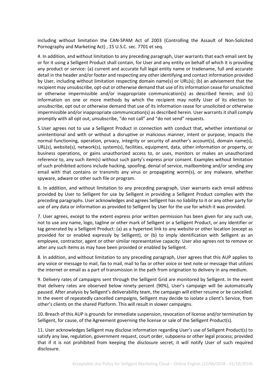including without limitation the CAN-SPAM Act of 2003 (Controlling the Assault of Non-Solicited Pornography and Marketing Act) , 15 U.S.C. sec. 7701 et seq.

4. In addition, and without limitation to any preceding paragraph, User warrants that each email sent by or for it using a Selligent Product shall contain, for User and any entity on behalf of which it is providing any product or service: (a) current and accurate full legal entity name or tradename, full and accurate detail in the header and/or footer and respecting any other identifying and contact information provided by User, including without limitation respecting domain name(s) or URL(s); (b) an advisement that the recipient may unsubscribe, opt-out or otherwise demand that use of its information cease for unsolicited or otherwise impermissible and/or inappropriate communication(s) as described herein; and (c) information on one or more methods by which the recipient may notify User of its election to unsubscribe, opt out or otherwise demand that use of its information cease for unsolicited or otherwise impermissible and/or inappropriate communication(s) as described herein. User warrants it shall comply promptly with all opt out, unsubscribe, "do not call" and "do not send" requests.

5.User agrees not to use a Selligent Product in connection with conduct that, whether intentional or unintentional and with or without a disruptive or malicious manner, intent or purpose, impacts the normal functioning, operation, privacy, integrity or security of another's account(s), domain name(s), URL(s), website(s), network(s), system(s), facilities, equipment, data, other information or property, or business operations, or gains unauthorized access to, or uses, monitors or makes an unauthorized reference to, any such item(s) without such party's express prior consent. Examples without limitation of such prohibited actions include hacking, spoofing, denial of service, mailbombing and/or sending any email with that contains or transmits any virus or propagating worm(s), or any malware, whether spyware, adware or other such file or program.

6. In addition, and without limitation to any preceding paragraph, User warrants each email address provided by User to Selligent for use by Selligent in providing a Selligent Product complies with the preceding paragraphs. User acknowledges and agrees Selligent has no liability to it or any other party for use of any data or information as provided to Selligent by User for the use for which it was provided.

7. User agrees, except to the extent express prior written permission has been given for any such use, not to use any name, logo, tagline or other mark of Selligent or a Selligent Product, or any identifier or tag generated by a Selligent Product: (a) as a hypertext link to any website or other location (except as provided for or enabled expressly by Selligent), or (b) to imply identification with Selligent as an employee, contractor, agent or other similar representative capacity. User also agrees not to remove or alter any such items as may have been provided or enabled by Selligent.

8. In addition, and without limitation to any preceding paragraph, User agrees that this AUP applies to any voice or message to mail, fax to mail, mail to fax or other voice or text note or message that utilizes the internet or email as a part of transmission in the path from origination to delivery in any medium.

9. Delivery rates of campaigns sent through the Selligent Grid are monitored by Selligent. In the event that delivery rates are observed below ninety percent (90%), User's campaign will be automatically paused. After analysis by Selligent's deliverability team, the campaign will either resume or be cancelled. In the event of repeatedly cancelled campaigns, Selligent may decide to isolate a client's Service, from other's clients on the shared Platform. This will result in slower campaigns.

10. Breach of this AUP is grounds for immediate suspension, revocation of license and/or termination by Selligent, for cause, of the Agreement governing the license or sale of the Selligent Product(s).

11. User acknowledges Selligent may disclose information regarding User's use of Selligent Product(s) to satisfy any law, regulation, government request, court order, subpoena or other legal process; provided that if it is not prohibited from keeping the disclosure secret, it will notify User of such required disclosure.